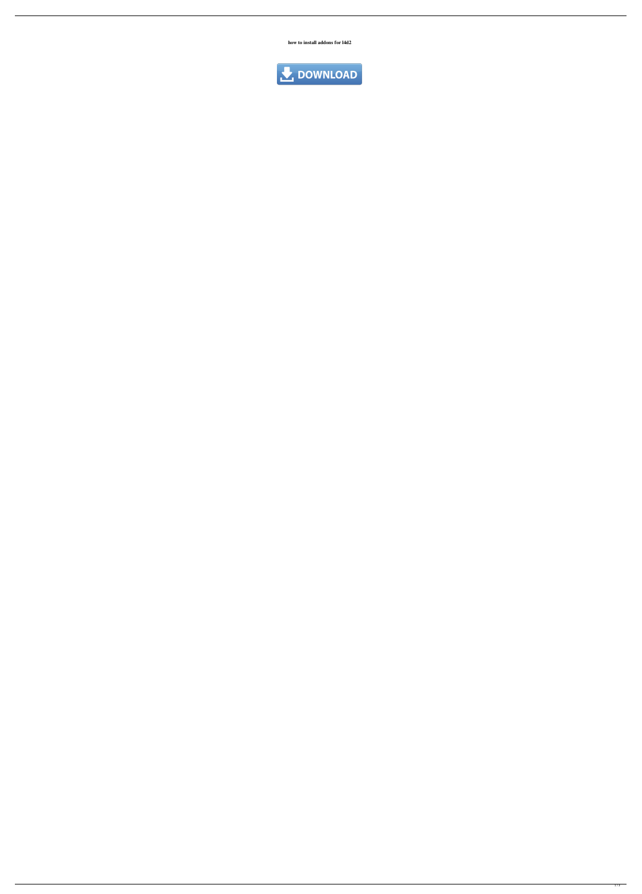**how to install addons for l4d2**

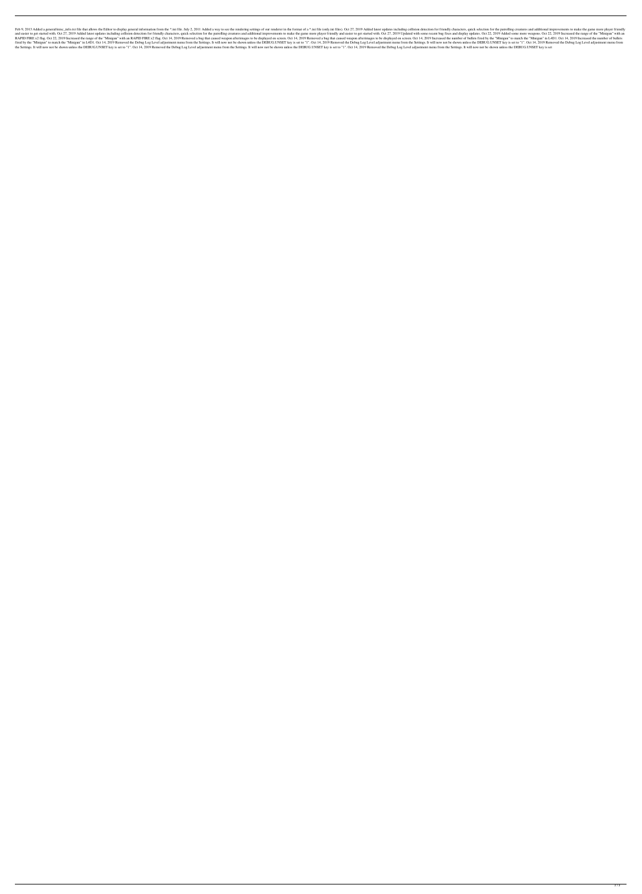Feb 9, 2013 Added a general/misc\_info.txt file that allows the Editor to display general information from the \*.ini file. July 2, 2011 Added a way to see the rendering settings of our renderer in the format of a \*.ini file and easier to get started with. Oct 27, 2019 Added latest updates including collision detection for friendly characters, quick selection for the patrolling creatures and additional improvements to make the game more player RAPID FIRE x2 flag. Oct 22, 2019 Increased the range of the "Minigun" with an RAPID FIRE x2 flag. Oct 14, 2019 Removed a bug that caused weapon afterimages to be displayed on screen. Oct 14, 2019 Removed a bug that caused fired by the "Minigun" to match the "Minigun" in L4D1. Oct 14, 2019 Removed the Debug Log Level adjustment menu from the Settings. It will now not be shown unless the DEBUG.UNSET key is set to "1". Oct 14, 2019 Removed the the Settings. It will now not be shown unless the DEBUG.UNSET key is set to "1". Oct 14, 2019 Removed the Debug Log Level adjustment menu from the Settings. It will now not be shown unless the DEBUG.UNSET key is set to "1"